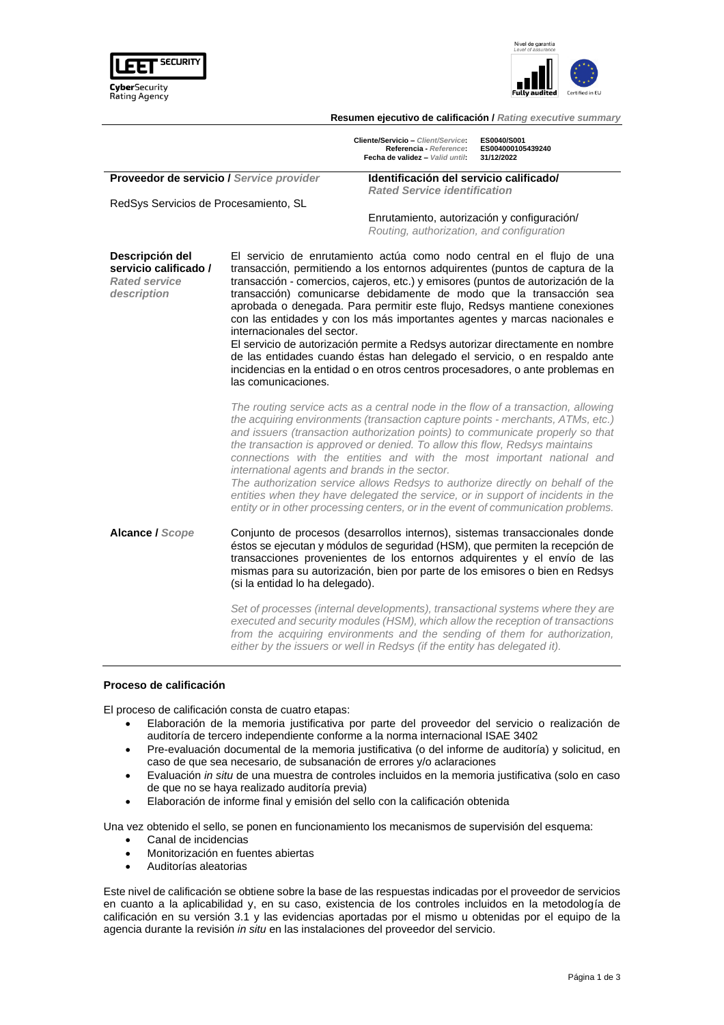



**Resumen ejecutivo de calificación /** *Rating executive summary*

|                                                                                 |                                                                                                                                                                                                                                                                                                                                                            | Cliente/Servicio - Client/Service:<br>Referencia - Reference:<br>Fecha de validez - Valid until:                                                                                                                                                                                                                                                                                                                                                                                                                                                                                                                                                                                                                             | ES0040/S001<br>ES004000105439240<br>31/12/2022                                                                                                                                                                                                                                                                                                                                                                                                                                                                                                                                              |
|---------------------------------------------------------------------------------|------------------------------------------------------------------------------------------------------------------------------------------------------------------------------------------------------------------------------------------------------------------------------------------------------------------------------------------------------------|------------------------------------------------------------------------------------------------------------------------------------------------------------------------------------------------------------------------------------------------------------------------------------------------------------------------------------------------------------------------------------------------------------------------------------------------------------------------------------------------------------------------------------------------------------------------------------------------------------------------------------------------------------------------------------------------------------------------------|---------------------------------------------------------------------------------------------------------------------------------------------------------------------------------------------------------------------------------------------------------------------------------------------------------------------------------------------------------------------------------------------------------------------------------------------------------------------------------------------------------------------------------------------------------------------------------------------|
| Proveedor de servicio / Service provider                                        |                                                                                                                                                                                                                                                                                                                                                            | Identificación del servicio calificado/<br><b>Rated Service identification</b>                                                                                                                                                                                                                                                                                                                                                                                                                                                                                                                                                                                                                                               |                                                                                                                                                                                                                                                                                                                                                                                                                                                                                                                                                                                             |
| RedSys Servicios de Procesamiento, SL                                           |                                                                                                                                                                                                                                                                                                                                                            |                                                                                                                                                                                                                                                                                                                                                                                                                                                                                                                                                                                                                                                                                                                              |                                                                                                                                                                                                                                                                                                                                                                                                                                                                                                                                                                                             |
|                                                                                 |                                                                                                                                                                                                                                                                                                                                                            | Enrutamiento, autorización y configuración/<br>Routing, authorization, and configuration                                                                                                                                                                                                                                                                                                                                                                                                                                                                                                                                                                                                                                     |                                                                                                                                                                                                                                                                                                                                                                                                                                                                                                                                                                                             |
| Descripción del<br>servicio calificado /<br><b>Rated service</b><br>description | internacionales del sector.<br>las comunicaciones.                                                                                                                                                                                                                                                                                                         | El servicio de enrutamiento actúa como nodo central en el flujo de una<br>transacción, permitiendo a los entornos adquirentes (puntos de captura de la<br>transacción - comercios, cajeros, etc.) y emisores (puntos de autorización de la<br>transacción) comunicarse debidamente de modo que la transacción sea<br>aprobada o denegada. Para permitir este flujo, Redsys mantiene conexiones<br>con las entidades y con los más importantes agentes y marcas nacionales e<br>El servicio de autorización permite a Redsys autorizar directamente en nombre<br>de las entidades cuando éstas han delegado el servicio, o en respaldo ante<br>incidencias en la entidad o en otros centros procesadores, o ante problemas en |                                                                                                                                                                                                                                                                                                                                                                                                                                                                                                                                                                                             |
|                                                                                 | international agents and brands in the sector.                                                                                                                                                                                                                                                                                                             | the transaction is approved or denied. To allow this flow, Redsys maintains                                                                                                                                                                                                                                                                                                                                                                                                                                                                                                                                                                                                                                                  | The routing service acts as a central node in the flow of a transaction, allowing<br>the acquiring environments (transaction capture points - merchants, ATMs, etc.)<br>and issuers (transaction authorization points) to communicate properly so that<br>connections with the entities and with the most important national and<br>The authorization service allows Redsys to authorize directly on behalf of the<br>entities when they have delegated the service, or in support of incidents in the<br>entity or in other processing centers, or in the event of communication problems. |
| Alcance / Scope                                                                 | Conjunto de procesos (desarrollos internos), sistemas transaccionales donde<br>éstos se ejecutan y módulos de seguridad (HSM), que permiten la recepción de<br>transacciones provenientes de los entornos adquirentes y el envío de las<br>mismas para su autorización, bien por parte de los emisores o bien en Redsys<br>(si la entidad lo ha delegado). |                                                                                                                                                                                                                                                                                                                                                                                                                                                                                                                                                                                                                                                                                                                              |                                                                                                                                                                                                                                                                                                                                                                                                                                                                                                                                                                                             |
|                                                                                 |                                                                                                                                                                                                                                                                                                                                                            | either by the issuers or well in Redsys (if the entity has delegated it).                                                                                                                                                                                                                                                                                                                                                                                                                                                                                                                                                                                                                                                    | Set of processes (internal developments), transactional systems where they are<br>executed and security modules (HSM), which allow the reception of transactions<br>from the acquiring environments and the sending of them for authorization,                                                                                                                                                                                                                                                                                                                                              |

### **Proceso de calificación**

El proceso de calificación consta de cuatro etapas:

- Elaboración de la memoria justificativa por parte del proveedor del servicio o realización de auditoría de tercero independiente conforme a la norma internacional ISAE 3402
- Pre-evaluación documental de la memoria justificativa (o del informe de auditoría) y solicitud, en caso de que sea necesario, de subsanación de errores y/o aclaraciones
- Evaluación *in situ* de una muestra de controles incluidos en la memoria justificativa (solo en caso de que no se haya realizado auditoría previa)
- Elaboración de informe final y emisión del sello con la calificación obtenida

Una vez obtenido el sello, se ponen en funcionamiento los mecanismos de supervisión del esquema:

- Canal de incidencias
- Monitorización en fuentes abiertas
- Auditorías aleatorias

Este nivel de calificación se obtiene sobre la base de las respuestas indicadas por el proveedor de servicios en cuanto a la aplicabilidad y, en su caso, existencia de los controles incluidos en la metodología de calificación en su versión 3.1 y las evidencias aportadas por el mismo u obtenidas por el equipo de la agencia durante la revisión *in situ* en las instalaciones del proveedor del servicio.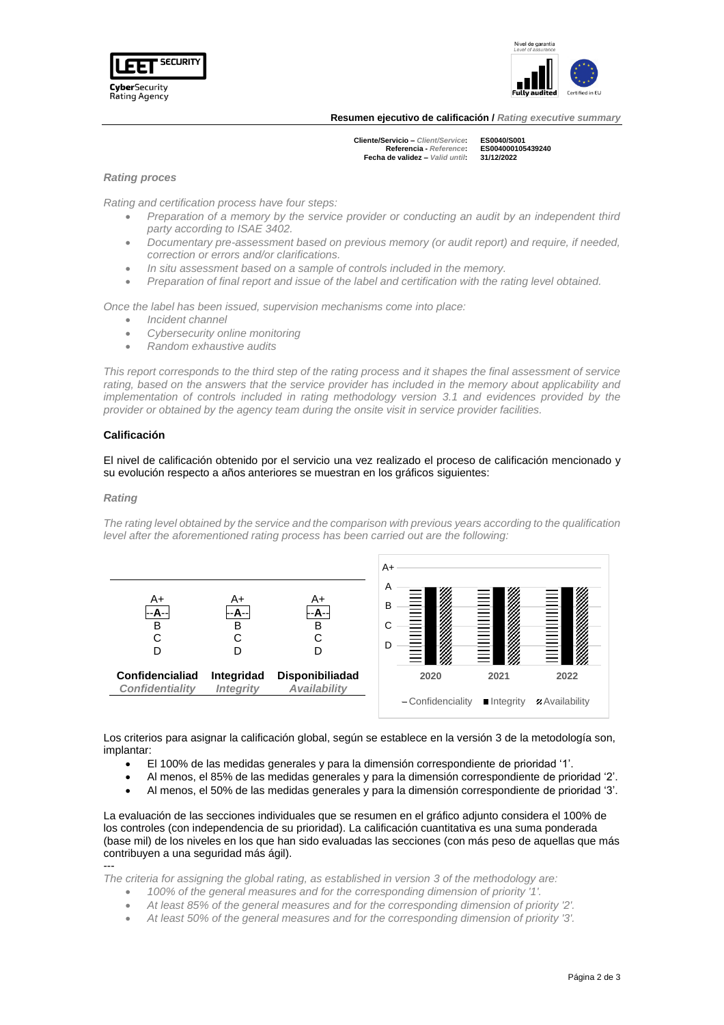



**Resumen ejecutivo de calificación /** *Rating executive summary*

**Cliente/Servicio –** *Client/Service***: ES0040/S001 Referencia -** *Reference***: ES004000105439240 Fecha de validez –** *Valid until***: 31/12/2022**

# *Rating proces*

*Rating and certification process have four steps:*

- *Preparation of a memory by the service provider or conducting an audit by an independent third party according to ISAE 3402.*
- *Documentary pre-assessment based on previous memory (or audit report) and require, if needed, correction or errors and/or clarifications.*
- *In situ assessment based on a sample of controls included in the memory.*
- *Preparation of final report and issue of the label and certification with the rating level obtained.*

*Once the label has been issued, supervision mechanisms come into place:*

- *Incident channel*
- *Cybersecurity online monitoring*
- *Random exhaustive audits*

*This report corresponds to the third step of the rating process and it shapes the final assessment of service*  rating, based on the answers that the service provider has included in the memory about applicability and *implementation of controls included in rating methodology version 3.1 and evidences provided by the provider or obtained by the agency team during the onsite visit in service provider facilities.*

## **Calificación**

El nivel de calificación obtenido por el servicio una vez realizado el proceso de calificación mencionado y su evolución respecto a años anteriores se muestran en los gráficos siguientes:

#### *Rating*

---

*The rating level obtained by the service and the comparison with previous years according to the qualification level after the aforementioned rating process has been carried out are the following:*



Los criterios para asignar la calificación global, según se establece en la versión 3 de la metodología son, implantar:

- El 100% de las medidas generales y para la dimensión correspondiente de prioridad '1'.
- Al menos, el 85% de las medidas generales y para la dimensión correspondiente de prioridad '2'.
- Al menos, el 50% de las medidas generales y para la dimensión correspondiente de prioridad '3'.

La evaluación de las secciones individuales que se resumen en el gráfico adjunto considera el 100% de los controles (con independencia de su prioridad). La calificación cuantitativa es una suma ponderada (base mil) de los niveles en los que han sido evaluadas las secciones (con más peso de aquellas que más contribuyen a una seguridad más ágil).

*The criteria for assigning the global rating, as established in version 3 of the methodology are:*

- *100% of the general measures and for the corresponding dimension of priority '1'.*
- *At least 85% of the general measures and for the corresponding dimension of priority '2'.*
- *At least 50% of the general measures and for the corresponding dimension of priority '3'.*